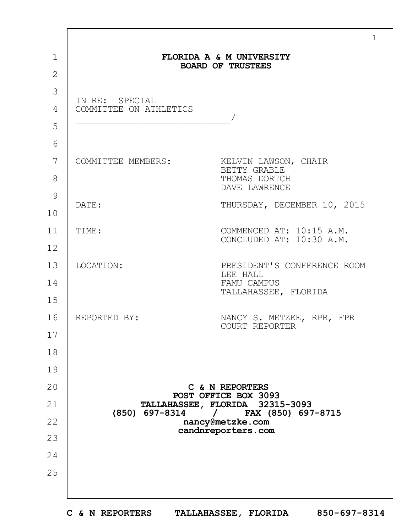| FLORIDA A & M UNIVERSITY |                                                                        |  |  |  |  |
|--------------------------|------------------------------------------------------------------------|--|--|--|--|
| <b>BOARD OF TRUSTEES</b> |                                                                        |  |  |  |  |
| IN RE: SPECIAL           |                                                                        |  |  |  |  |
| COMMITTEE ON ATHLETICS   |                                                                        |  |  |  |  |
|                          |                                                                        |  |  |  |  |
|                          |                                                                        |  |  |  |  |
|                          | COMMITTEE MEMBERS: KELVIN LAWSON, CHAIR<br>BETTY GRABLE                |  |  |  |  |
|                          | THOMAS DORTCH<br>DAVE LAWRENCE                                         |  |  |  |  |
| DATE:                    | THURSDAY, DECEMBER 10, 2015                                            |  |  |  |  |
|                          |                                                                        |  |  |  |  |
| TIME:                    | COMMENCED AT: 10:15 A.M.<br>CONCLUDED AT: 10:30 A.M.                   |  |  |  |  |
|                          |                                                                        |  |  |  |  |
| LOCATION:                | PRESIDENT'S CONFERENCE ROOM<br>LEE HALL                                |  |  |  |  |
|                          | FAMU CAMPUS<br>TALLAHASSEE, FLORIDA                                    |  |  |  |  |
|                          |                                                                        |  |  |  |  |
| REPORTED BY:             | NANCY S. METZKE, RPR, FPR<br>COURT REPORTER                            |  |  |  |  |
|                          |                                                                        |  |  |  |  |
|                          |                                                                        |  |  |  |  |
|                          |                                                                        |  |  |  |  |
|                          | C & N REPORTERS<br>POST OFFICE BOX 3093                                |  |  |  |  |
|                          | TALLAHASSEE, FLORIDA 32315-3093<br>(850) 697-8314 / FAX (850) 697-8715 |  |  |  |  |
|                          | nancy@metzke.com                                                       |  |  |  |  |
|                          | candnreporters.com                                                     |  |  |  |  |
|                          |                                                                        |  |  |  |  |
|                          |                                                                        |  |  |  |  |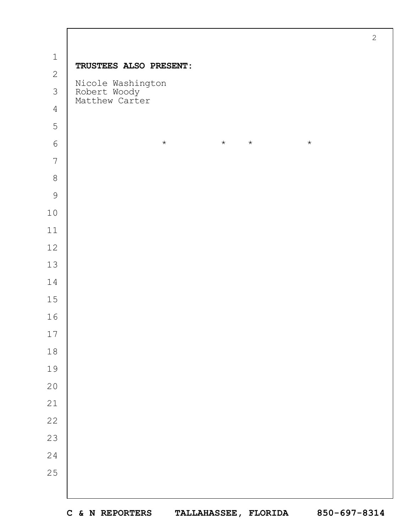|                | $\mathbf{2}$                                        |
|----------------|-----------------------------------------------------|
| $\mathbbm{1}$  | TRUSTEES ALSO PRESENT:                              |
| $\mathbf{2}$   |                                                     |
| $\mathcal{S}$  | Nicole Washington<br>Robert Woody<br>Matthew Carter |
| $\overline{4}$ |                                                     |
| 5              |                                                     |
| $\epsilon$     | $\star$<br>$\star$<br>$\star$<br>$\star$            |
| $\overline{7}$ |                                                     |
| $\,8\,$        |                                                     |
| $\mathcal{G}$  |                                                     |
| $10$           |                                                     |
| $11$           |                                                     |
| $12$           |                                                     |
| 13             |                                                     |
| 14             |                                                     |
| $15$           |                                                     |
| 16             |                                                     |
| $17$           |                                                     |
| $1\,8$         |                                                     |
| 19             |                                                     |
| $20$           |                                                     |
| 21             |                                                     |
| $2\sqrt{2}$    |                                                     |
| 23             |                                                     |
| 24             |                                                     |
| 25             |                                                     |
|                |                                                     |

 $\Gamma$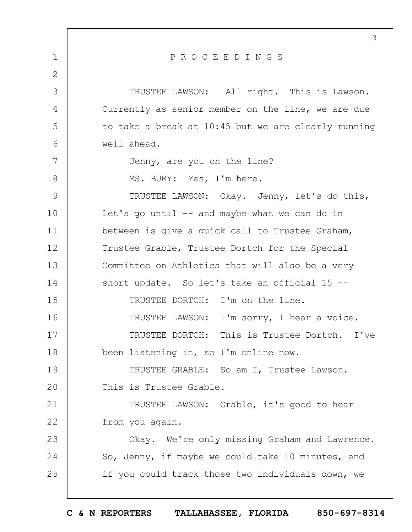| PROCEEDINGS<br>$\mathbf 1$                               |  |
|----------------------------------------------------------|--|
|                                                          |  |
| $\overline{2}$                                           |  |
| 3<br>TRUSTEE LAWSON: All right. This is Lawson.          |  |
| Currently as senior member on the line, we are due<br>4  |  |
| 5<br>to take a break at 10:45 but we are clearly running |  |
| 6<br>well ahead.                                         |  |
| 7<br>Jenny, are you on the line?                         |  |
| 8<br>MS. BURY: Yes, I'm here.                            |  |
| 9<br>TRUSTEE LAWSON: Okay. Jenny, let's do this,         |  |
| 10<br>$let's go until -- and maybe what we can do in$    |  |
| 11<br>between is give a quick call to Trustee Graham,    |  |
| 12<br>Trustee Grable, Trustee Dortch for the Special     |  |
| 13<br>Committee on Athletics that will also be a very    |  |
| 14<br>short update. So let's take an official 15 --      |  |
| 15<br>TRUSTEE DORTCH: I'm on the line.                   |  |
| 16<br>TRUSTEE LAWSON: I'm sorry, I hear a voice.         |  |
| 17<br>TRUSTEE DORTCH: This is Trustee Dortch. I've       |  |
| 18<br>been listening in, so I'm online now.              |  |
| 19<br>TRUSTEE GRABLE: So am I, Trustee Lawson.           |  |
| 20<br>This is Trustee Grable.                            |  |
| 21<br>TRUSTEE LAWSON: Grable, it's good to hear          |  |
| 22<br>from you again.                                    |  |
| 23<br>Okay. We're only missing Graham and Lawrence.      |  |
| 24<br>So, Jenny, if maybe we could take 10 minutes, and  |  |
| 25<br>if you could track those two individuals down, we  |  |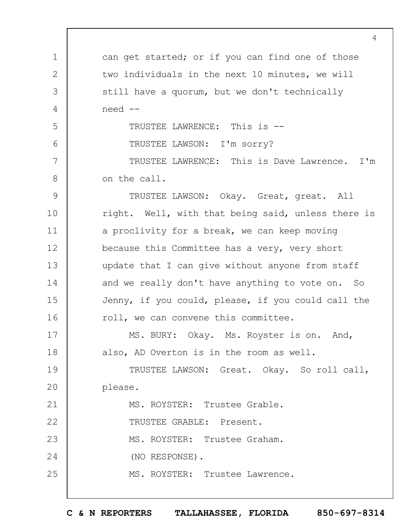1 2 3 4 5 6 7 8 9 10 11 12 13 14 15 16 17 18 19  $20$ 21 22 23 24 25 4 can get started; or if you can find one of those two individuals in the next 10 minutes, we will still have a quorum, but we don't technically need -- TRUSTEE LAWRENCE: This is -- TRUSTEE LAWSON: I'm sorry? TRUSTEE LAWRENCE: This is Dave Lawrence. I'm on the call. TRUSTEE LAWSON: Okay. Great, great. All right. Well, with that being said, unless there is a proclivity for a break, we can keep moving because this Committee has a very, very short update that I can give without anyone from staff and we really don't have anything to vote on. So Jenny, if you could, please, if you could call the roll, we can convene this committee. MS. BURY: Okay. Ms. Royster is on. And, also, AD Overton is in the room as well. TRUSTEE LAWSON: Great. Okay. So roll call, please. MS. ROYSTER: Trustee Grable. TRUSTEE GRABLE: Present. MS. ROYSTER: Trustee Graham. (NO RESPONSE). MS. ROYSTER: Trustee Lawrence.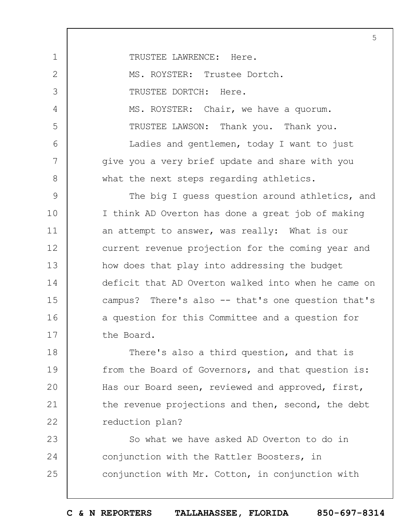1 2 3 4 5 6 7 8 9 10 11 12 13 14 15 16 17 18 19  $20$ 21 22 5 TRUSTEE LAWRENCE: Here. MS. ROYSTER: Trustee Dortch. TRUSTEE DORTCH: Here. MS. ROYSTER: Chair, we have a quorum. TRUSTEE LAWSON: Thank you. Thank you. Ladies and gentlemen, today I want to just give you a very brief update and share with you what the next steps regarding athletics. The big I guess question around athletics, and I think AD Overton has done a great job of making an attempt to answer, was really: What is our current revenue projection for the coming year and how does that play into addressing the budget deficit that AD Overton walked into when he came on campus? There's also -- that's one question that's a question for this Committee and a question for the Board. There's also a third question, and that is from the Board of Governors, and that question is: Has our Board seen, reviewed and approved, first, the revenue projections and then, second, the debt reduction plan?

23 24 25 So what we have asked AD Overton to do in conjunction with the Rattler Boosters, in conjunction with Mr. Cotton, in conjunction with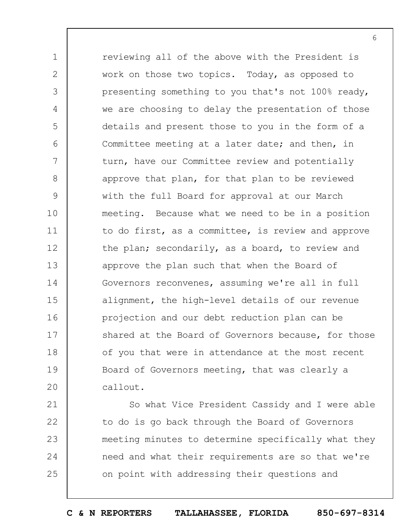1 2 3 4 5 6 7 8 9 10 11 12 13 14 15 16 17 18 19  $20$ reviewing all of the above with the President is work on those two topics. Today, as opposed to presenting something to you that's not 100% ready, we are choosing to delay the presentation of those details and present those to you in the form of a Committee meeting at a later date; and then, in turn, have our Committee review and potentially approve that plan, for that plan to be reviewed with the full Board for approval at our March meeting. Because what we need to be in a position to do first, as a committee, is review and approve the plan; secondarily, as a board, to review and approve the plan such that when the Board of Governors reconvenes, assuming we're all in full alignment, the high-level details of our revenue projection and our debt reduction plan can be shared at the Board of Governors because, for those of you that were in attendance at the most recent Board of Governors meeting, that was clearly a callout.

21 22 23 24 25 So what Vice President Cassidy and I were able to do is go back through the Board of Governors meeting minutes to determine specifically what they need and what their requirements are so that we're on point with addressing their questions and

6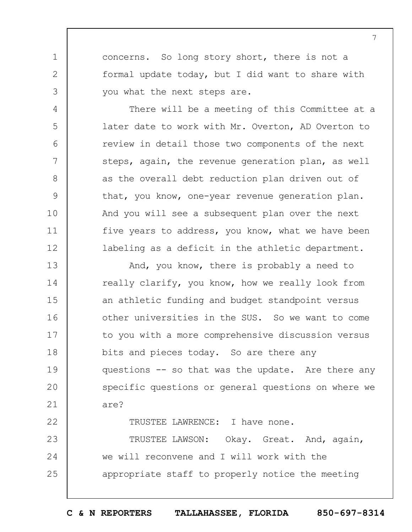concerns. So long story short, there is not a formal update today, but I did want to share with you what the next steps are.

1

2

3

4

5

6

7

8

9

10

11

12

22

There will be a meeting of this Committee at a later date to work with Mr. Overton, AD Overton to review in detail those two components of the next steps, again, the revenue generation plan, as well as the overall debt reduction plan driven out of that, you know, one-year revenue generation plan. And you will see a subsequent plan over the next five years to address, you know, what we have been labeling as a deficit in the athletic department.

13 14 15 16 17 18 19  $20$ 21 And, you know, there is probably a need to really clarify, you know, how we really look from an athletic funding and budget standpoint versus other universities in the SUS. So we want to come to you with a more comprehensive discussion versus bits and pieces today. So are there any questions -- so that was the update. Are there any specific questions or general questions on where we are?

TRUSTEE LAWRENCE: I have none.

23 24 25 TRUSTEE LAWSON: Okay. Great. And, again, we will reconvene and I will work with the appropriate staff to properly notice the meeting

**C & N REPORTERS TALLAHASSEE, FLORIDA 850-697-8314**

7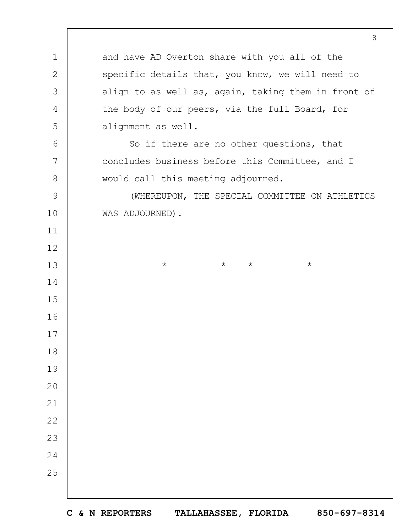and have AD Overton share with you all of the specific details that, you know, we will need to align to as well as, again, taking them in front of the body of our peers, via the full Board, for alignment as well. So if there are no other questions, that concludes business before this Committee, and I would call this meeting adjourned. (WHEREUPON, THE SPECIAL COMMITTEE ON ATHLETICS WAS ADJOURNED). \* \* \* \*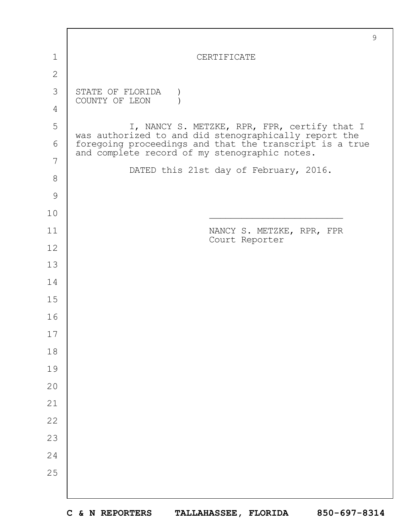|               | $\mathcal{G}$                                                                                            |
|---------------|----------------------------------------------------------------------------------------------------------|
| 1             | CERTIFICATE                                                                                              |
| $\mathbf{2}$  |                                                                                                          |
| 3             | STATE OF FLORIDA<br>COUNTY OF LEON                                                                       |
| 4             |                                                                                                          |
| 5             | I, NANCY S. METZKE, RPR, FPR, certify that I<br>was authorized to and did stenographically report the    |
| 6             | foregoing proceedings and that the transcript is a true<br>and complete record of my stenographic notes. |
| 7             | DATED this 21st day of February, 2016.                                                                   |
| 8             |                                                                                                          |
| $\mathcal{G}$ |                                                                                                          |
| 10            |                                                                                                          |
| 11            | NANCY S. METZKE, RPR, FPR<br>Court Reporter                                                              |
| 12            |                                                                                                          |
| 13            |                                                                                                          |
| 14            |                                                                                                          |
| 15            |                                                                                                          |
| 16            |                                                                                                          |
| 17            |                                                                                                          |
| 18            |                                                                                                          |
| 19            |                                                                                                          |
| 20            |                                                                                                          |
| 21            |                                                                                                          |
| 22            |                                                                                                          |
| 23            |                                                                                                          |
| 24            |                                                                                                          |
| 25            |                                                                                                          |
|               |                                                                                                          |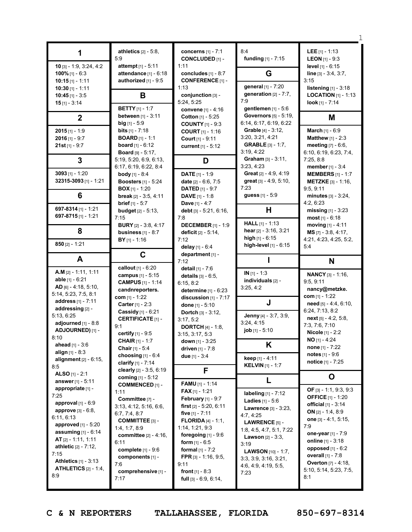|                                                                                                                                                                                                                                                                                                                            | athletics $[2] - 5.8$ ,<br>5:9                                                                                                                                                                                                                     | concerns [1] - 7:1<br><b>CONCLUDED [1] -</b>                                                                                                                                                                                                                                                                                   | 8:4<br><b>funding</b> $[1] - 7:15$                                                                                                                                                                                                                              | <b>LEE</b> $[1] - 1:13$<br><b>LEON</b> $[1]$ - 9:3                                                                                                                                                                                                                                      |
|----------------------------------------------------------------------------------------------------------------------------------------------------------------------------------------------------------------------------------------------------------------------------------------------------------------------------|----------------------------------------------------------------------------------------------------------------------------------------------------------------------------------------------------------------------------------------------------|--------------------------------------------------------------------------------------------------------------------------------------------------------------------------------------------------------------------------------------------------------------------------------------------------------------------------------|-----------------------------------------------------------------------------------------------------------------------------------------------------------------------------------------------------------------------------------------------------------------|-----------------------------------------------------------------------------------------------------------------------------------------------------------------------------------------------------------------------------------------------------------------------------------------|
| 10 [3] - 1:9, 3:24, 4:2<br>100% $[1] - 6:3$<br>$10:15$ [1] - 1:11                                                                                                                                                                                                                                                          | attempt [1] - 5:11<br>attendance [1] - 6:18<br>authorized [1] - 9:5                                                                                                                                                                                | 1:11<br>concludes $[1] - 8:7$<br><b>CONFERENCE [1] -</b>                                                                                                                                                                                                                                                                       | G                                                                                                                                                                                                                                                               | level [1] - 6:15<br>line [3] - 3:4, 3:7,<br>3:15                                                                                                                                                                                                                                        |
| 10:30 $[1] - 1:11$<br>$10:45$ [1] - 3:5<br>$15$ [1] - 3:14                                                                                                                                                                                                                                                                 | В                                                                                                                                                                                                                                                  | 1:13<br>conjunction [3] -<br>5:24, 5:25                                                                                                                                                                                                                                                                                        | general [1] - 7:20<br>generation $[2] - 7:7$ ,<br>7:9                                                                                                                                                                                                           | listening $[1] - 3:18$<br><b>LOCATION</b> $[1]$ - 1:13<br>look [1] - 7:14                                                                                                                                                                                                               |
| $\mathbf{2}$                                                                                                                                                                                                                                                                                                               | <b>BETTY</b> [1] - 1:7<br>between [1] - 3:11                                                                                                                                                                                                       | convene [1] - 4:16<br>Cotton [1] - 5:25                                                                                                                                                                                                                                                                                        | gentlemen $[1] - 5:6$<br><b>Governors</b> [5] - 5:19,<br>6:14, 6:17, 6:19, 6:22                                                                                                                                                                                 | M                                                                                                                                                                                                                                                                                       |
| $2015$ [1] - 1:9<br>$2016$ [1] - 9:7<br>$21st$ [1] - 9:7                                                                                                                                                                                                                                                                   | $big$ [1] - 5:9<br><b>bits</b> $[1] - 7:18$<br><b>BOARD</b> $[1] - 1:1$<br><b>board</b> $[1] - 6:12$<br><b>Board</b> $[9] - 5:17$ ,                                                                                                                | <b>COUNTY</b> [1] - 9:3<br><b>COURT</b> [1] - 1:16<br><b>Court</b> $[1] - 9:11$<br>current [1] - 5:12                                                                                                                                                                                                                          | Grable [4] - 3:12,<br>3:20, 3:21, 4:21<br><b>GRABLE</b> $[3] - 1:7$ ,<br>3:19, 4:22                                                                                                                                                                             | March [1] - 6:9<br>Matthew [1] - 2:3<br><b>meeting</b> $[7] - 6:6$ ,<br>6:10, 6:19, 6:23, 7:4,                                                                                                                                                                                          |
| 3                                                                                                                                                                                                                                                                                                                          | 5:19, 5:20, 6:9, 6:13,<br>6:17, 6:19, 6:22, 8:4                                                                                                                                                                                                    | D                                                                                                                                                                                                                                                                                                                              | Graham $[3] - 3:11$ ,<br>3:23, 4:23                                                                                                                                                                                                                             | 7:25, 8:8<br>member [1] - 3:4                                                                                                                                                                                                                                                           |
| 3093 $[1] - 1:20$<br>32315-3093 [1] - 1:21                                                                                                                                                                                                                                                                                 | <b>body</b> $[1] - 8:4$<br><b>Boosters</b> [1] - 5:24<br><b>BOX</b> $[1]$ - 1:20                                                                                                                                                                   | <b>DATE</b> $[1] - 1:9$<br>date $[2] - 6:6, 7:5$<br><b>DATED</b> $[1] - 9:7$                                                                                                                                                                                                                                                   | Great $[2] - 4:9, 4:19$<br>great [3] - 4:9, 5:10,<br>7:23                                                                                                                                                                                                       | <b>MEMBERS</b> [1] - 1:7<br><b>METZKE</b> $[3] - 1:16$ ,<br>9:5, 9:11                                                                                                                                                                                                                   |
| 6                                                                                                                                                                                                                                                                                                                          | break [2] - 3:5, 4:11<br><b>brief</b> $[1] - 5:7$                                                                                                                                                                                                  | <b>DAVE</b> $[1] - 1:8$<br><b>Dave</b> $[1] - 4:7$                                                                                                                                                                                                                                                                             | guess [1] - 5:9                                                                                                                                                                                                                                                 | minutes $[3] - 3:24$ ,<br>4:2, 6:23                                                                                                                                                                                                                                                     |
| 697-8314 $[1]$ - 1:21<br>697-8715 [1] - 1:21                                                                                                                                                                                                                                                                               | <b>budget</b> $[2] - 5:13$ ,<br>7:15                                                                                                                                                                                                               | debt [3] - 5:21, 6:16,<br>7:8                                                                                                                                                                                                                                                                                                  | н<br>HALL [1] - 1:13                                                                                                                                                                                                                                            | missing $[1]$ - 3:23<br>most $[1] - 6:18$                                                                                                                                                                                                                                               |
| 8                                                                                                                                                                                                                                                                                                                          | <b>BURY</b> $[2] - 3:8, 4:17$<br>business $[1] - 8:7$                                                                                                                                                                                              | <b>DECEMBER</b> [1] - 1:9<br>deficit $[2] - 5:14$ ,                                                                                                                                                                                                                                                                            | hear [2] - 3:16, 3:21<br>high $[1] - 6:15$                                                                                                                                                                                                                      | moving $[1] - 4:11$<br>MS [7] - 3:8, 4:17,                                                                                                                                                                                                                                              |
| $850$ [2] - 1:21                                                                                                                                                                                                                                                                                                           | $BY$ [1] - 1:16                                                                                                                                                                                                                                    | 7:12<br>delay $[1] - 6:4$                                                                                                                                                                                                                                                                                                      | high-level [1] - 6:15                                                                                                                                                                                                                                           | 4:21, 4:23, 4:25, 5:2,<br>5:4                                                                                                                                                                                                                                                           |
| A                                                                                                                                                                                                                                                                                                                          | C                                                                                                                                                                                                                                                  | department [1] -<br>7:12                                                                                                                                                                                                                                                                                                       |                                                                                                                                                                                                                                                                 | N                                                                                                                                                                                                                                                                                       |
| $A.M$ [2] - 1:11, 1:11<br>able $[1] - 6:21$<br>$AD$ [6] - 4:18, 5:10,<br>5:14, 5:23, 7:5, 8:1<br>address [1] - 7:11<br>addressing [2] -                                                                                                                                                                                    | callout [1] - 6:20<br>campus [1] - 5:15<br><b>CAMPUS</b> [1] - 1:14<br>candnreporters.<br>com $[1] - 1:22$<br>Carter [1] - 2:3                                                                                                                     | detail $[1] - 7:6$<br>details $[3] - 6:5$ ,<br>6:15, 8:2<br>determine $[1] - 6:23$<br>discussion $[1]$ - $7:17$<br>done [1] - 5:10                                                                                                                                                                                             | $IN [1] - 1:3$<br>individuals [2] -<br>3:25, 4:2<br>J                                                                                                                                                                                                           | <b>NANCY</b> [3] - 1:16,<br>9:5, 9:11<br>nancy@metzke.<br>com $[1] - 1:22$<br>need [5] - 4:4, 6:10,                                                                                                                                                                                     |
| 5:13, 6:25<br>adjourned $[1]$ - 8:8<br>ADJOURNED) [1] -<br>8:10<br><b>ahead</b> $[1] - 3.6$                                                                                                                                                                                                                                | Cassidy [1] - 6:21<br><b>CERTIFICATE [1] -</b><br>9:1<br>certify [1] - 9:5<br><b>CHAIR</b> [1] - 1:7                                                                                                                                               | Dortch [3] - 3:12,<br>3:17, 5:2<br><b>DORTCH</b> [4] - 1:8,<br>3:15, 3:17, 5:3<br>down $[1] - 3:25$                                                                                                                                                                                                                            | Jenny [4] - 3:7, 3:9,<br>3:24, 4:15<br>job [1] - 5:10<br>K                                                                                                                                                                                                      | 6:24, 7:13, 8:2<br>$next[5] - 4:2, 5:8,$<br>7:3, 7:6, 7:10<br>Nicole [1] - 2:2<br>$NO$ [1] - 4:24                                                                                                                                                                                       |
| align $[1] - 8:3$<br>alignment $[2] - 6:15$ ,<br>8:5                                                                                                                                                                                                                                                                       | <b>Chair</b> [1] - $5:4$<br>choosing [1] - 6:4<br>clarify $[1] - 7:14$                                                                                                                                                                             | driven [1] - 7:8<br>due $[1] - 3:4$                                                                                                                                                                                                                                                                                            | keep [1] - 4:11<br><b>KELVIN</b> $[1] - 1:7$                                                                                                                                                                                                                    | <b>none</b> $[1] - 7:22$<br><b>notes</b> $[1] - 9:6$<br>notice [1] - 7:25                                                                                                                                                                                                               |
| <b>ALSO</b> [1] - 2:1                                                                                                                                                                                                                                                                                                      | clearly [2] - 3:5, 6:19<br>coming [1] - 5:12                                                                                                                                                                                                       | F                                                                                                                                                                                                                                                                                                                              | L                                                                                                                                                                                                                                                               | O                                                                                                                                                                                                                                                                                       |
| answer $[1] - 5:11$<br>appropriate [1] -<br>7:25<br>approval $[1]$ - $6:9$<br><b>approve</b> $[3] - 6:8$ ,<br>6:11, 6:13<br>approved [1] - 5:20<br><b>assuming</b> $[1] - 6:14$<br>AT [2] - 1:11, 1:11<br><b>athletic</b> $[2] - 7:12$ ,<br>7:15<br><b>Athletics</b> $[1] - 3:13$<br><b>ATHLETICS</b> $[2] - 1:4$ ,<br>8:9 | <b>COMMENCED [1] -</b><br>1:11<br>Committee [7] -<br>3:13, 4:12, 5:16, 6:6,<br>6:7, 7:4, 8:7<br>COMMITTEE [3] -<br>1:4, 1:7, 8:9<br>committee [2] - 4:16,<br>6:11<br><b>complete</b> $[1] - 9:6$<br>components [1] -<br>7:6<br>comprehensive [1] - | <b>FAMU</b> $[1] - 1:14$<br><b>FAX</b> $[1]$ - 1:21<br><b>February</b> [1] - 9:7<br>first $[2] - 5:20, 6:11$<br>five $[1] - 7:11$<br><b>FLORIDA</b> $[4] - 1:1$ ,<br>1:14, 1:21, 9:3<br>foregoing $[1]$ - $9:6$<br><b>form</b> $[1] - 6:5$<br>formal $[1] - 7:2$<br>FPR $[3] - 1:16, 9:5,$<br>9:11<br><b>front</b> $[1] - 8:3$ | labeling [1] - 7:12<br><b>Ladies</b> $[1] - 5:6$<br>Lawrence [3] - 3:23,<br>4:7, 4:25<br>LAWRENCE [5] -<br>1:8, 4:5, 4:7, 5:1, 7:22<br><b>Lawson</b> $[2] - 3:3,$<br>3:19<br><b>LAWSON</b> [10] - 1:7,<br>3:3, 3:9, 3:16, 3:21,<br>4:6, 4:9, 4:19, 5:5,<br>7:23 | OF [3] - 1:1, 9:3, 9:3<br><b>OFFICE</b> [1] - 1:20<br><b>official</b> $[1] - 3:14$<br>ON $[2] - 1:4, 8:9$<br>one [3] - 4:1, 5:15,<br>7.9<br>one-year [1] - 7:9<br>online $[1] - 3:18$<br>opposed [1] - 6:2<br>overall [1] - 7:8<br><b>Overton</b> [7] - 4:18,<br>5:10, 5:14, 5:23, 7:5, |

1